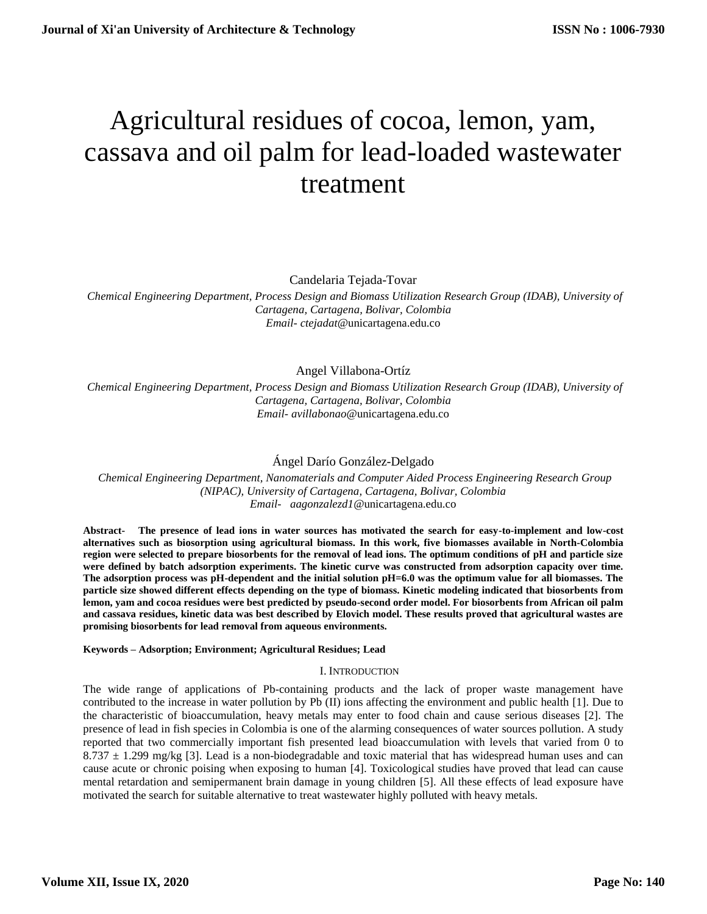# Agricultural residues of cocoa, lemon, yam, cassava and oil palm for lead-loaded wastewater treatment

Candelaria Tejada-Tovar

 *Chemical Engineering Department, Process Design and Biomass Utilization Research Group (IDAB), University of Cartagena, Cartagena, Bolivar, Colombia Email- ctejadat*@unicartagena.edu.co

Angel Villabona-Ortíz

 *Chemical Engineering Department, Process Design and Biomass Utilization Research Group (IDAB), University of Cartagena, Cartagena, Bolivar, Colombia Email- avillabonao*@unicartagena.edu.co

# Ángel Darío González-Delgado

 *Chemical Engineering Department, Nanomaterials and Computer Aided Process Engineering Research Group (NIPAC), University of Cartagena, Cartagena, Bolivar, Colombia [Email-](mailto:Email-%20%20%20anuradhamit@gmail.com) aagonzalezd1*@unicartagena.edu.co

**Abstract- The presence of lead ions in water sources has motivated the search for easy-to-implement and low-cost alternatives such as biosorption using agricultural biomass. In this work, five biomasses available in North-Colombia region were selected to prepare biosorbents for the removal of lead ions. The optimum conditions of pH and particle size were defined by batch adsorption experiments. The kinetic curve was constructed from adsorption capacity over time. The adsorption process was pH-dependent and the initial solution pH=6.0 was the optimum value for all biomasses. The particle size showed different effects depending on the type of biomass. Kinetic modeling indicated that biosorbents from lemon, yam and cocoa residues were best predicted by pseudo-second order model. For biosorbents from African oil palm and cassava residues, kinetic data was best described by Elovich model. These results proved that agricultural wastes are promising biosorbents for lead removal from aqueous environments.**

### **Keywords – Adsorption; Environment; Agricultural Residues; Lead**

### I. INTRODUCTION

The wide range of applications of Pb-containing products and the lack of proper waste management have contributed to the increase in water pollution by Pb (II) ions affecting the environment and public health [1]. Due to the characteristic of bioaccumulation, heavy metals may enter to food chain and cause serious diseases [2]. The presence of lead in fish species in Colombia is one of the alarming consequences of water sources pollution. A study reported that two commercially important fish presented lead bioaccumulation with levels that varied from 0 to 8.737 ± 1.299 mg/kg [3]. Lead is a non-biodegradable and toxic material that has widespread human uses and can cause acute or chronic poising when exposing to human [4]. Toxicological studies have proved that lead can cause mental retardation and semipermanent brain damage in young children [5]. All these effects of lead exposure have motivated the search for suitable alternative to treat wastewater highly polluted with heavy metals.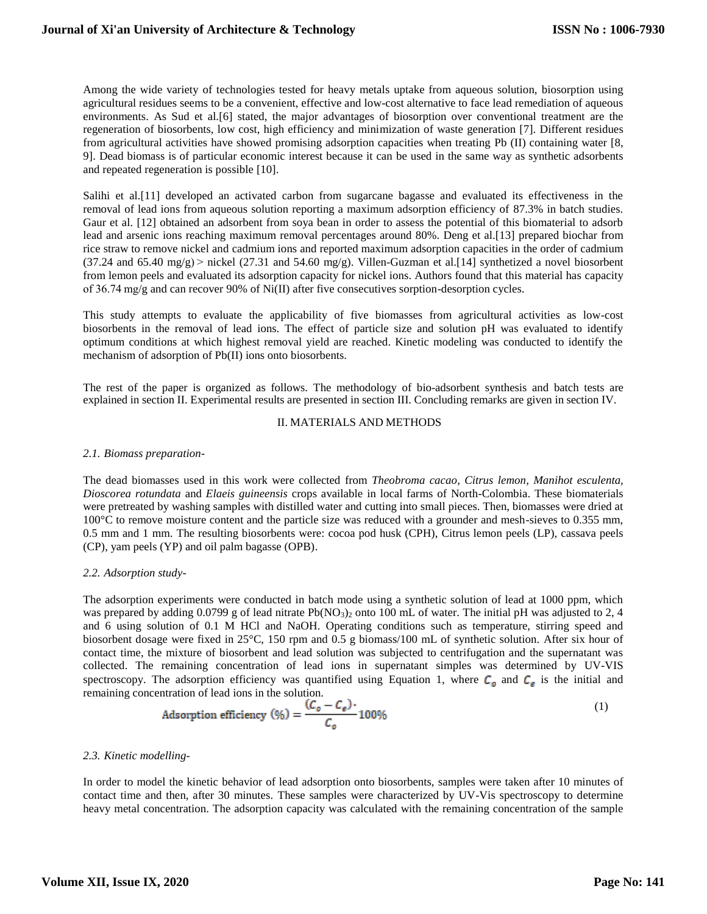Among the wide variety of technologies tested for heavy metals uptake from aqueous solution, biosorption using agricultural residues seems to be a convenient, effective and low-cost alternative to face lead remediation of aqueous environments. As Sud et al.[6] stated, the major advantages of biosorption over conventional treatment are the regeneration of biosorbents, low cost, high efficiency and minimization of waste generation [7]. Different residues from agricultural activities have showed promising adsorption capacities when treating Pb (II) containing water [8, 9]. Dead biomass is of particular economic interest because it can be used in the same way as synthetic adsorbents and repeated regeneration is possible [10].

Salihi et al.[11] developed an activated carbon from sugarcane bagasse and evaluated its effectiveness in the removal of lead ions from aqueous solution reporting a maximum adsorption efficiency of 87.3% in batch studies. Gaur et al. [12] obtained an adsorbent from soya bean in order to assess the potential of this biomaterial to adsorb lead and arsenic ions reaching maximum removal percentages around 80%. Deng et al.[13] prepared biochar from rice straw to remove nickel and cadmium ions and reported maximum adsorption capacities in the order of cadmium  $(37.24 \text{ and } 65.40 \text{ mg/g})$   $\geq$  nickel  $(27.31 \text{ and } 54.60 \text{ mg/g})$ . Villen-Guzman et al. [14] synthetized a novel biosorbent from lemon peels and evaluated its adsorption capacity for nickel ions. Authors found that this material has capacity of 36.74 mg/g and can recover 90% of Ni(II) after five consecutives sorption-desorption cycles.

This study attempts to evaluate the applicability of five biomasses from agricultural activities as low-cost biosorbents in the removal of lead ions. The effect of particle size and solution pH was evaluated to identify optimum conditions at which highest removal yield are reached. Kinetic modeling was conducted to identify the mechanism of adsorption of Pb(II) ions onto biosorbents.

The rest of the paper is organized as follows. The methodology of bio-adsorbent synthesis and batch tests are explained in section II. Experimental results are presented in section III. Concluding remarks are given in section IV.

### II. MATERIALS AND METHODS

### *2.1. Biomass preparation-*

The dead biomasses used in this work were collected from *Theobroma cacao*, *Citrus lemon, Manihot esculenta, Dioscorea rotundata* and *Elaeis guineensis* crops available in local farms of North-Colombia. These biomaterials were pretreated by washing samples with distilled water and cutting into small pieces. Then, biomasses were dried at 100°C to remove moisture content and the particle size was reduced with a grounder and mesh-sieves to 0.355 mm, 0.5 mm and 1 mm. The resulting biosorbents were: cocoa pod husk (CPH), Citrus lemon peels (LP), cassava peels (CP), yam peels (YP) and oil palm bagasse (OPB).

### *2.2. Adsorption study-*

The adsorption experiments were conducted in batch mode using a synthetic solution of lead at 1000 ppm, which was prepared by adding  $0.0799$  g of lead nitrate Pb(NO<sub>3</sub>)<sub>2</sub> onto 100 mL of water. The initial pH was adjusted to 2, 4 and 6 using solution of 0.1 M HCl and NaOH. Operating conditions such as temperature, stirring speed and biosorbent dosage were fixed in 25°C, 150 rpm and 0.5 g biomass/100 mL of synthetic solution. After six hour of contact time, the mixture of biosorbent and lead solution was subjected to centrifugation and the supernatant was collected. The remaining concentration of lead ions in supernatant simples was determined by UV-VIS spectroscopy. The adsorption efficiency was quantified using Equation 1, where  $C_0$  and  $C_e$  is the initial and remaining concentration of lead ions in the solution.

Adsorption efficiency 
$$
(\%) = \frac{(C_o - C_e)}{C_o} 100\%
$$
 (1)

### *2.3. Kinetic modelling-*

In order to model the kinetic behavior of lead adsorption onto biosorbents, samples were taken after 10 minutes of contact time and then, after 30 minutes. These samples were characterized by UV-Vis spectroscopy to determine heavy metal concentration. The adsorption capacity was calculated with the remaining concentration of the sample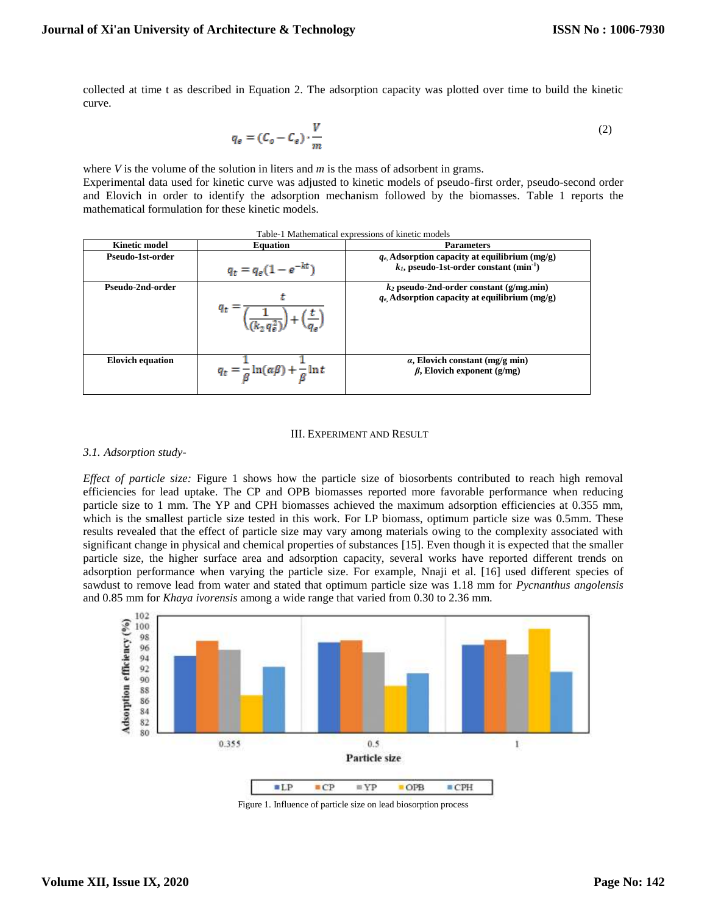collected at time t as described in Equation 2. The adsorption capacity was plotted over time to build the kinetic curve.

$$
q_e = (C_o - C_e) \cdot \frac{V}{m}
$$
 (2)

where *V* is the volume of the solution in liters and *m* is the mass of adsorbent in grams. Experimental data used for kinetic curve was adjusted to kinetic models of pseudo-first order, pseudo-second order and Elovich in order to identify the adsorption mechanism followed by the biomasses. Table 1 reports the mathematical formulation for these kinetic models.

| Table-1 Mathematical expressions of kinetic models |                                                                   |                                                                                                           |
|----------------------------------------------------|-------------------------------------------------------------------|-----------------------------------------------------------------------------------------------------------|
| <b>Kinetic model</b>                               | <b>Equation</b>                                                   | <b>Parameters</b>                                                                                         |
| Pseudo-1st-order                                   | $q_t = q_e(1 - e^{-kt})$                                          | $q_e$ Adsorption capacity at equilibrium (mg/g)<br>$k_1$ , pseudo-1st-order constant (min <sup>-1</sup> ) |
| Pseudo-2nd-order                                   | Чt                                                                | $k_2$ pseudo-2nd-order constant (g/mg.min)<br>$q_e$ Adsorption capacity at equilibrium (mg/g)             |
| <b>Elovich equation</b>                            | $q_t = \frac{1}{\beta} \ln(\alpha \beta) + \frac{1}{\beta} \ln t$ | $\alpha$ , Elovich constant (mg/g min)<br>$\beta$ , Elovich exponent (g/mg)                               |

#### III. EXPERIMENT AND RESULT

#### *3.1. Adsorption study-*

*Effect of particle size:* Figure 1 shows how the particle size of biosorbents contributed to reach high removal efficiencies for lead uptake. The CP and OPB biomasses reported more favorable performance when reducing particle size to 1 mm. The YP and CPH biomasses achieved the maximum adsorption efficiencies at 0.355 mm, which is the smallest particle size tested in this work. For LP biomass, optimum particle size was 0.5mm. These results revealed that the effect of particle size may vary among materials owing to the complexity associated with significant change in physical and chemical properties of substances [15]. Even though it is expected that the smaller particle size, the higher surface area and adsorption capacity, several works have reported different trends on adsorption performance when varying the particle size. For example, Nnaji et al. [16] used different species of sawdust to remove lead from water and stated that optimum particle size was 1.18 mm for *Pycnanthus angolensis* and 0.85 mm for *Khaya ivorensis* among a wide range that varied from 0.30 to 2.36 mm.



Figure 1. Influence of particle size on lead biosorption process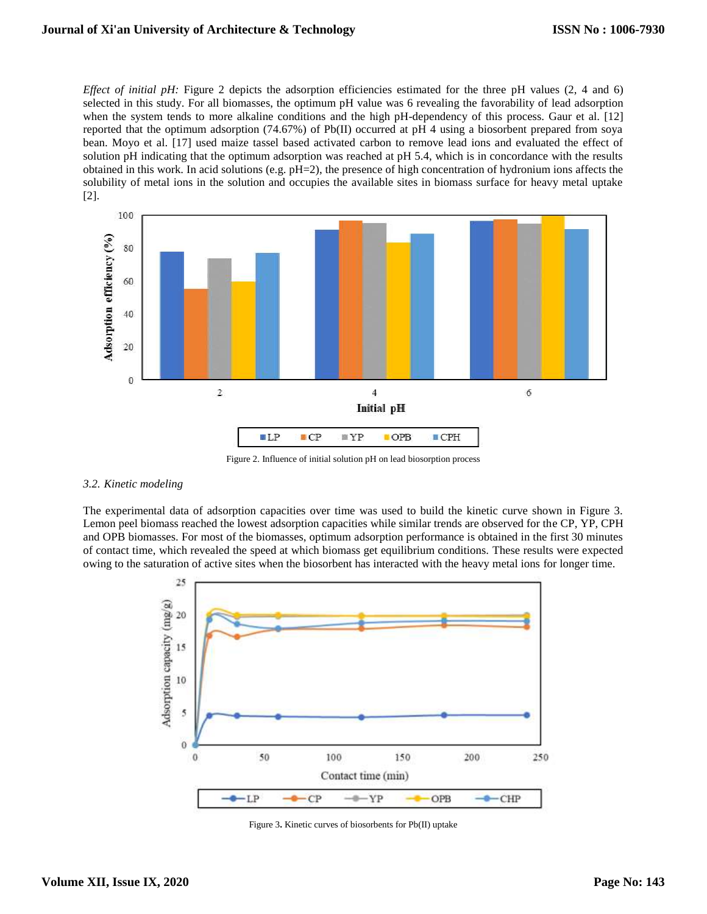*Effect of initial pH:* Figure 2 depicts the adsorption efficiencies estimated for the three pH values (2, 4 and 6) selected in this study. For all biomasses, the optimum pH value was 6 revealing the favorability of lead adsorption when the system tends to more alkaline conditions and the high pH-dependency of this process. Gaur et al. [12] reported that the optimum adsorption (74.67%) of Pb(II) occurred at pH 4 using a biosorbent prepared from soya bean. Moyo et al. [17] used maize tassel based activated carbon to remove lead ions and evaluated the effect of solution pH indicating that the optimum adsorption was reached at pH 5.4, which is in concordance with the results obtained in this work. In acid solutions (e.g. pH=2), the presence of high concentration of hydronium ions affects the solubility of metal ions in the solution and occupies the available sites in biomass surface for heavy metal uptake [2].



Figure 2. Influence of initial solution pH on lead biosorption process

## *3.2. Kinetic modeling*

The experimental data of adsorption capacities over time was used to build the kinetic curve shown in Figure 3. Lemon peel biomass reached the lowest adsorption capacities while similar trends are observed for the CP, YP, CPH and OPB biomasses. For most of the biomasses, optimum adsorption performance is obtained in the first 30 minutes of contact time, which revealed the speed at which biomass get equilibrium conditions. These results were expected owing to the saturation of active sites when the biosorbent has interacted with the heavy metal ions for longer time.



Figure 3**.** Kinetic curves of biosorbents for Pb(II) uptake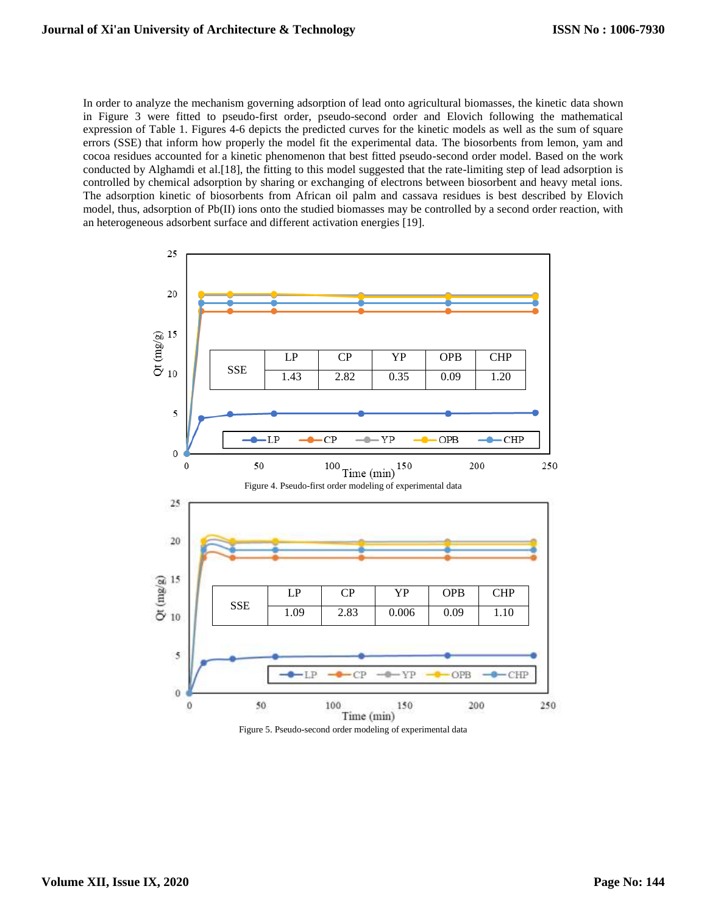In order to analyze the mechanism governing adsorption of lead onto agricultural biomasses, the kinetic data shown in Figure 3 were fitted to pseudo-first order, pseudo-second order and Elovich following the mathematical expression of Table 1. Figures 4-6 depicts the predicted curves for the kinetic models as well as the sum of square errors (SSE) that inform how properly the model fit the experimental data. The biosorbents from lemon, yam and cocoa residues accounted for a kinetic phenomenon that best fitted pseudo-second order model. Based on the work conducted by Alghamdi et al.[18], the fitting to this model suggested that the rate-limiting step of lead adsorption is controlled by chemical adsorption by sharing or exchanging of electrons between biosorbent and heavy metal ions. The adsorption kinetic of biosorbents from African oil palm and cassava residues is best described by Elovich model, thus, adsorption of Pb(II) ions onto the studied biomasses may be controlled by a second order reaction, with an heterogeneous adsorbent surface and different activation energies [19].



Figure 5. Pseudo-second order modeling of experimental data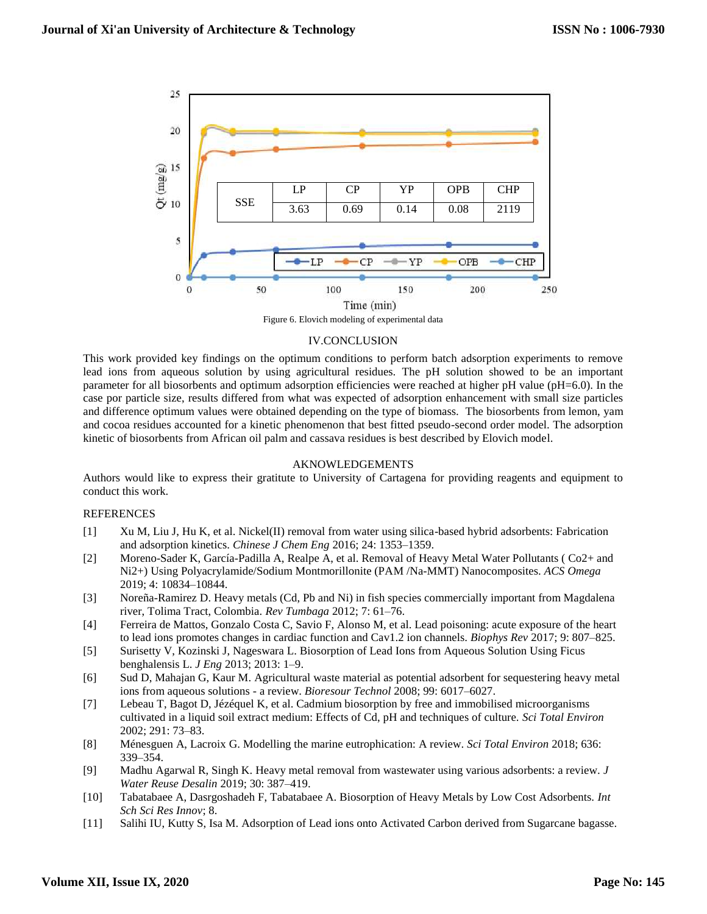

Figure 6. Elovich modeling of experimental data

### IV.CONCLUSION

This work provided key findings on the optimum conditions to perform batch adsorption experiments to remove lead ions from aqueous solution by using agricultural residues. The pH solution showed to be an important parameter for all biosorbents and optimum adsorption efficiencies were reached at higher pH value (pH=6.0). In the case por particle size, results differed from what was expected of adsorption enhancement with small size particles and difference optimum values were obtained depending on the type of biomass. The biosorbents from lemon, yam and cocoa residues accounted for a kinetic phenomenon that best fitted pseudo-second order model. The adsorption kinetic of biosorbents from African oil palm and cassava residues is best described by Elovich model.

### AKNOWLEDGEMENTS

Authors would like to express their gratitute to University of Cartagena for providing reagents and equipment to conduct this work.

### REFERENCES

- [1] Xu M, Liu J, Hu K, et al. Nickel(II) removal from water using silica-based hybrid adsorbents: Fabrication and adsorption kinetics. *Chinese J Chem Eng* 2016; 24: 1353–1359.
- [2] Moreno-Sader K, García-Padilla A, Realpe A, et al. Removal of Heavy Metal Water Pollutants ( Co2+ and Ni2+) Using Polyacrylamide/Sodium Montmorillonite (PAM /Na-MMT) Nanocomposites. *ACS Omega* 2019; 4: 10834–10844.
- [3] Noreña-Ramirez D. Heavy metals (Cd, Pb and Ni) in fish species commercially important from Magdalena river, Tolima Tract, Colombia. *Rev Tumbaga* 2012; 7: 61–76.
- [4] Ferreira de Mattos, Gonzalo Costa C, Savio F, Alonso M, et al. Lead poisoning: acute exposure of the heart to lead ions promotes changes in cardiac function and Cav1.2 ion channels. *Biophys Rev* 2017; 9: 807–825.
- [5] Surisetty V, Kozinski J, Nageswara L. Biosorption of Lead Ions from Aqueous Solution Using Ficus benghalensis L. *J Eng* 2013; 2013: 1–9.
- [6] Sud D, Mahajan G, Kaur M. Agricultural waste material as potential adsorbent for sequestering heavy metal ions from aqueous solutions - a review. *Bioresour Technol* 2008; 99: 6017–6027.
- [7] Lebeau T, Bagot D, Jézéquel K, et al. Cadmium biosorption by free and immobilised microorganisms cultivated in a liquid soil extract medium: Effects of Cd, pH and techniques of culture. *Sci Total Environ* 2002; 291: 73–83.
- [8] Ménesguen A, Lacroix G. Modelling the marine eutrophication: A review. *Sci Total Environ* 2018; 636: 339–354.
- [9] Madhu Agarwal R, Singh K. Heavy metal removal from wastewater using various adsorbents: a review. *J Water Reuse Desalin* 2019; 30: 387–419.
- [10] Tabatabaee A, Dasrgoshadeh F, Tabatabaee A. Biosorption of Heavy Metals by Low Cost Adsorbents. *Int Sch Sci Res Innov*; 8.
- [11] Salihi IU, Kutty S, Isa M. Adsorption of Lead ions onto Activated Carbon derived from Sugarcane bagasse.